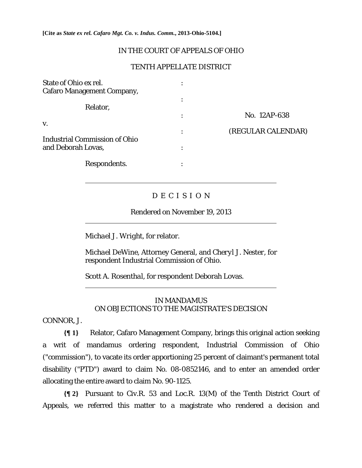**[Cite as** *State ex rel. Cafaro Mgt. Co. v. Indus. Comm.***, 2013-Ohio-5104.]**

## IN THE COURT OF APPEALS OF OHIO

# TENTH APPELLATE DISTRICT

| State of Ohio ex rel.<br><b>Cafaro Management Company,</b> |           |                    |
|------------------------------------------------------------|-----------|--------------------|
| Relator,                                                   | $\bullet$ |                    |
|                                                            | $\bullet$ | No. 12AP-638       |
| V.                                                         | $\bullet$ | (REGULAR CALENDAR) |
| <b>Industrial Commission of Ohio</b><br>and Deborah Lovas, | ٠         |                    |
| Respondents.                                               | ٠         |                    |

## D E C I S I O N

## Rendered on November 19, 2013

*Michael J. Wright,* for relator.

*Michael DeWine*, Attorney General, and *Cheryl J. Nester,* for respondent Industrial Commission of Ohio.

*Scott A. Rosenthal,* for respondent Deborah Lovas.

# IN MANDAMUS ON OBJECTIONS TO THE MAGISTRATE'S DECISION

CONNOR, J.

 $\overline{a}$ 

 $\overline{a}$ 

 $\overline{a}$ 

**{¶ 1}** Relator, Cafaro Management Company, brings this original action seeking a writ of mandamus ordering respondent, Industrial Commission of Ohio ("commission"), to vacate its order apportioning 25 percent of claimant's permanent total disability ("PTD") award to claim No. 08-0852146, and to enter an amended order allocating the entire award to claim No. 90-1125.

**{¶ 2}** Pursuant to Civ.R. 53 and Loc.R. 13(M) of the Tenth District Court of Appeals, we referred this matter to a magistrate who rendered a decision and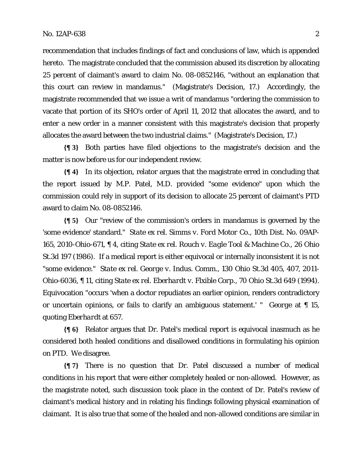recommendation that includes findings of fact and conclusions of law, which is appended hereto. The magistrate concluded that the commission abused its discretion by allocating 25 percent of claimant's award to claim No. 08-0852146, "without an explanation that this court can review in mandamus." (Magistrate's Decision, 17.) Accordingly, the magistrate recommended that we issue a writ of mandamus "ordering the commission to vacate that portion of its SHO's order of April 11, 2012 that allocates the award, and to enter a new order in a manner consistent with this magistrate's decision that properly allocates the award between the two industrial claims." (Magistrate's Decision, 17.)

**{¶ 3}** Both parties have filed objections to the magistrate's decision and the matter is now before us for our independent review.

**{¶ 4}** In its objection, relator argues that the magistrate erred in concluding that the report issued by M.P. Patel, M.D. provided "some evidence" upon which the commission could rely in support of its decision to allocate 25 percent of claimant's PTD award to claim No. 08-0852146.

**{¶ 5}** Our "review of the commission's orders in mandamus is governed by the 'some evidence' standard." *State ex rel. Simms v. Ford Motor Co*., 10th Dist. No. 09AP-165, 2010-Ohio-671, ¶ 4, citing *State ex rel. Rouch v. Eagle Tool & Machine Co*., 26 Ohio St.3d 197 (1986). If a medical report is either equivocal or internally inconsistent it is not "some evidence." *State ex rel. George v. Indus. Comm*., 130 Ohio St.3d 405, 407, 2011- Ohio-6036, ¶ 11, citing *State ex rel. Eberhardt v. Flxible Corp*., 70 Ohio St.3d 649 (1994). Equivocation "occurs 'when a doctor repudiates an earlier opinion, renders contradictory or uncertain opinions, or fails to clarify an ambiguous statement.' " *George* at ¶ 15, quoting *Eberhardt* at 657.

**{¶ 6}** Relator argues that Dr. Patel's medical report is equivocal inasmuch as he considered both healed conditions and disallowed conditions in formulating his opinion on PTD. We disagree.

**{¶ 7}** There is no question that Dr. Patel discussed a number of medical conditions in his report that were either completely healed or non-allowed. However, as the magistrate noted, such discussion took place in the context of Dr. Patel's review of claimant's medical history and in relating his findings following physical examination of claimant. It is also true that some of the healed and non-allowed conditions are similar in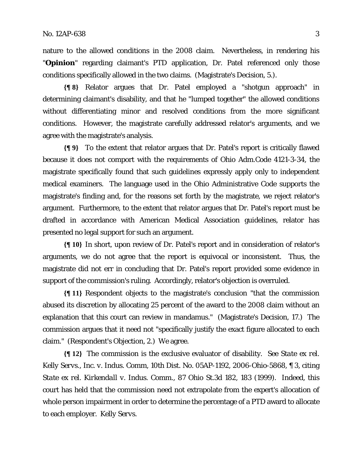nature to the allowed conditions in the 2008 claim. Nevertheless, in rendering his "**Opinion**" regarding claimant's PTD application, Dr. Patel referenced only those conditions specifically allowed in the two claims. (Magistrate's Decision, 5.).

**{¶ 8}** Relator argues that Dr. Patel employed a "shotgun approach" in determining claimant's disability, and that he "lumped together" the allowed conditions without differentiating minor and resolved conditions from the more significant conditions. However, the magistrate carefully addressed relator's arguments, and we agree with the magistrate's analysis.

**{¶ 9}** To the extent that relator argues that Dr. Patel's report is critically flawed because it does not comport with the requirements of Ohio Adm.Code 4121-3-34, the magistrate specifically found that such guidelines expressly apply only to independent medical examiners. The language used in the Ohio Administrative Code supports the magistrate's finding and, for the reasons set forth by the magistrate, we reject relator's argument. Furthermore, to the extent that relator argues that Dr. Patel's report must be drafted in accordance with American Medical Association guidelines, relator has presented no legal support for such an argument.

**{¶ 10}** In short, upon review of Dr. Patel's report and in consideration of relator's arguments, we do not agree that the report is equivocal or inconsistent. Thus, the magistrate did not err in concluding that Dr. Patel's report provided some evidence in support of the commission's ruling. Accordingly, relator's objection is overruled.

**{¶ 11}** Respondent objects to the magistrate's conclusion "that the commission abused its discretion by allocating 25 percent of the award to the 2008 claim without an explanation that this court can review in mandamus." (Magistrate's Decision, 17.) The commission argues that it need not "specifically justify the exact figure allocated to each claim." (Respondent's Objection, 2.) We agree.

**{¶ 12}** The commission is the exclusive evaluator of disability. *See State ex rel. Kelly Servs., Inc. v. Indus. Comm,* 10th Dist. No. 05AP-1192, 2006-Ohio-5868, ¶ 3, citing *State ex rel. Kirkendall v. Indus. Comm*., 87 Ohio St.3d 182, 183 (1999). Indeed, this court has held that the commission need not extrapolate from the expert's allocation of whole person impairment in order to determine the percentage of a PTD award to allocate to each employer. *Kelly Servs.*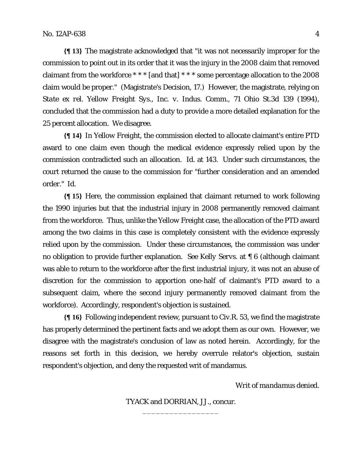**{¶ 13}** The magistrate acknowledged that "it was not necessarily improper for the commission to point out in its order that it was the injury in the 2008 claim that removed claimant from the workforce \* \* \* [and that] \* \* \* some percentage allocation to the 2008 claim would be proper." (Magistrate's Decision, 17.) However, the magistrate, relying on *State ex rel. Yellow Freight Sys., Inc. v. Indus. Comm.*, 71 Ohio St.3d 139 (1994), concluded that the commission had a duty to provide a more detailed explanation for the 25 percent allocation. We disagree.

**{¶ 14}** In *Yellow Freight,* the commission elected to allocate claimant's entire PTD award to one claim even though the medical evidence expressly relied upon by the commission contradicted such an allocation. *Id.* at 143. Under such circumstances, the court returned the cause to the commission for "further consideration and an amended order." *Id.* 

**{¶ 15}** Here, the commission explained that claimant returned to work following the 1990 injuries but that the industrial injury in 2008 permanently removed claimant from the workforce. Thus, unlike the *Yellow Freight* case, the allocation of the PTD award among the two claims in this case is completely consistent with the evidence expressly relied upon by the commission. Under these circumstances, the commission was under no obligation to provide further explanation. *See Kelly Servs.* at ¶ 6 (although claimant was able to return to the workforce after the first industrial injury, it was not an abuse of discretion for the commission to apportion one-half of claimant's PTD award to a subsequent claim, where the second injury permanently removed claimant from the workforce). Accordingly, respondent's objection is sustained.

**{¶ 16}** Following independent review, pursuant to Civ.R. 53, we find the magistrate has properly determined the pertinent facts and we adopt them as our own. However, we disagree with the magistrate's conclusion of law as noted herein. Accordingly, for the reasons set forth in this decision, we hereby overrule relator's objection, sustain respondent's objection, and deny the requested writ of mandamus.

*Writ of mandamus denied.* 

TYACK and DORRIAN, JJ., concur. \_\_\_\_\_\_\_\_\_\_\_\_\_\_\_\_\_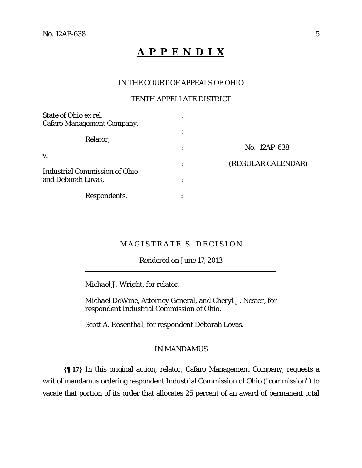$\overline{a}$ 

 $\overline{a}$ 

 $\overline{a}$ 

# **A P P E N D I X**

## IN THE COURT OF APPEALS OF OHIO

## TENTH APPELLATE DISTRICT

| State of Ohio ex rel.                |   |                    |
|--------------------------------------|---|--------------------|
| <b>Cafaro Management Company,</b>    |   |                    |
| Relator,                             |   |                    |
|                                      | ٠ | No. 12AP-638       |
| V.                                   |   |                    |
|                                      |   | (REGULAR CALENDAR) |
| <b>Industrial Commission of Ohio</b> |   |                    |
| and Deborah Lovas,                   |   |                    |
| Respondents.                         |   |                    |

# MAGISTRATE'S DECISION

Rendered on June 17, 2013

*Michael J. Wright,* for relator.

*Michael DeWine*, Attorney General, and *Cheryl J. Nester,* for respondent Industrial Commission of Ohio.

*Scott A. Rosenthal,* for respondent Deborah Lovas.

## IN MANDAMUS

**{¶ 17}** In this original action, relator, Cafaro Management Company, requests a writ of mandamus ordering respondent Industrial Commission of Ohio ("commission") to vacate that portion of its order that allocates 25 percent of an award of permanent total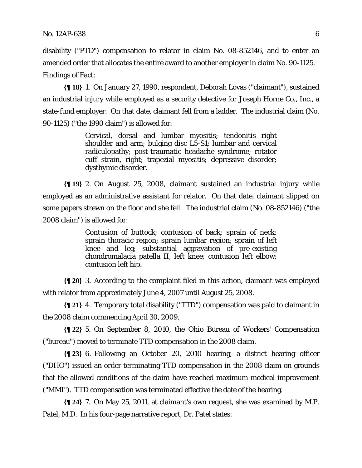disability ("PTD") compensation to relator in claim No. 08-852146, and to enter an amended order that allocates the entire award to another employer in claim No. 90-1125. Findings of Fact:

**{¶ 18}** 1. On January 27, 1990, respondent, Deborah Lovas ("claimant"), sustained an industrial injury while employed as a security detective for Joseph Horne Co., Inc., a state-fund employer. On that date, claimant fell from a ladder. The industrial claim (No. 90-1125) ("the 1990 claim") is allowed for:

> Cervical, dorsal and lumbar myositis; tendonitis right shoulder and arm; bulging disc L5-S1; lumbar and cervical radiculopathy; post-traumatic headache syndrome; rotator cuff strain, right; trapezial myositis; depressive disorder; dysthymic disorder.

**{¶ 19}** 2. On August 25, 2008, claimant sustained an industrial injury while employed as an administrative assistant for relator. On that date, claimant slipped on some papers strewn on the floor and she fell. The industrial claim (No. 08-852146) ("the 2008 claim") is allowed for:

> Contusion of buttock; contusion of back; sprain of neck; sprain thoracic region; sprain lumbar region; sprain of left knee and leg; substantial aggravation of pre-existing chondromalacia patella II, left knee; contusion left elbow; contusion left hip.

**{¶ 20}** 3. According to the complaint filed in this action, claimant was employed with relator from approximately June 4, 2007 until August 25, 2008.

**{¶ 21}** 4. Temporary total disability ("TTD") compensation was paid to claimant in the 2008 claim commencing April 30, 2009.

**{¶ 22}** 5. On September 8, 2010, the Ohio Bureau of Workers' Compensation ("bureau") moved to terminate TTD compensation in the 2008 claim.

**{¶ 23}** 6. Following an October 20, 2010 hearing, a district hearing officer ("DHO") issued an order terminating TTD compensation in the 2008 claim on grounds that the allowed conditions of the claim have reached maximum medical improvement ("MMI"). TTD compensation was terminated effective the date of the hearing.

**{¶ 24}** 7. On May 25, 2011, at claimant's own request, she was examined by M.P. Patel, M.D. In his four-page narrative report, Dr. Patel states: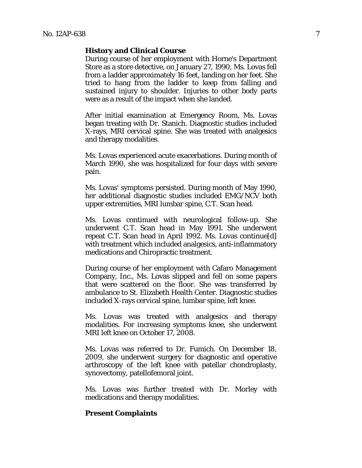#### **History and Clinical Course**

During course of her employment with Horne's Department Store as a store detective, on January 27, 1990, Ms. Lovas fell from a ladder approximately 16 feet, landing on her feet. She tried to hang from the ladder to keep from falling and sustained injury to shoulder. Injuries to other body parts were as a result of the impact when she landed.

After initial examination at Emergency Room, Ms. Lovas began treating with Dr. Stanich. Diagnostic studies included X-rays, MRI cervical spine. She was treated with analgesics and therapy modalities.

Ms. Lovas experienced acute exacerbations. During month of March 1990, she was hospitalized for four days with severe pain.

Ms. Lovas' symptoms persisted. During month of May 1990, her additional diagnostic studies included EMG/NCV both upper extremities, MRI lumbar spine, C.T. Scan head.

Ms. Lovas continued with neurological follow-up. She underwent C.T. Scan head in May 1991. She underwent repeat C.T. Scan head in April 1992. Ms. Lovas continue[d] with treatment which included analgesics, anti-inflammatory medications and Chiropractic treatment.

During course of her employment with Cafaro Management Company, Inc., Ms. Lovas slipped and fell on some papers that were scattered on the floor. She was transferred by ambulance to St. Elizabeth Health Center. Diagnostic studies included X-rays cervical spine, lumbar spine, left knee.

Ms. Lovas was treated with analgesics and therapy modalities. For increasing symptoms knee, she underwent MRI left knee on October 17, 2008.

Ms. Lovas was referred to Dr. Fumich. On December 18, 2009, she underwent surgery for diagnostic and operative arthroscopy of the left knee with patellar chondroplasty, synovectomy, patellofemoral joint.

Ms. Lovas was further treated with Dr. Morley with medications and therapy modalities.

#### **Present Complaints**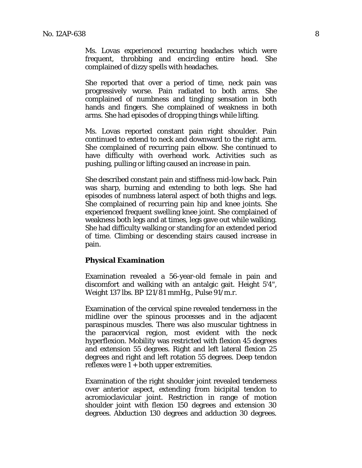Ms. Lovas experienced recurring headaches which were frequent, throbbing and encircling entire head. She complained of dizzy spells with headaches.

She reported that over a period of time, neck pain was progressively worse. Pain radiated to both arms. She complained of numbness and tingling sensation in both hands and fingers. She complained of weakness in both arms. She had episodes of dropping things while lifting.

Ms. Lovas reported constant pain right shoulder. Pain continued to extend to neck and downward to the right arm. She complained of recurring pain elbow. She continued to have difficulty with overhead work. Activities such as pushing, pulling or lifting caused an increase in pain.

She described constant pain and stiffness mid-low back. Pain was sharp, burning and extending to both legs. She had episodes of numbness lateral aspect of both thighs and legs. She complained of recurring pain hip and knee joints. She experienced frequent swelling knee joint. She complained of weakness both legs and at times, legs gave out while walking. She had difficulty walking or standing for an extended period of time. Climbing or descending stairs caused increase in pain.

#### **Physical Examination**

Examination revealed a 56-year-old female in pain and discomfort and walking with an antalgic gait. Height 5'4", Weight 137 lbs. BP 121/81 mmHg., Pulse 91/m.r.

Examination of the cervical spine revealed tenderness in the midline over the spinous processes and in the adjacent paraspinous muscles. There was also muscular tightness in the paracervical region, most evident with the neck hyperflexion. Mobility was restricted with flexion 45 degrees and extension 55 degrees. Right and left lateral flexion 25 degrees and right and left rotation 55 degrees. Deep tendon reflexes were  $1 + \text{both upper extremities.}$ 

Examination of the right shoulder joint revealed tenderness over anterior aspect, extending from bicipital tendon to acromioclavicular joint. Restriction in range of motion shoulder joint with flexion 150 degrees and extension 30 degrees. Abduction 130 degrees and adduction 30 degrees.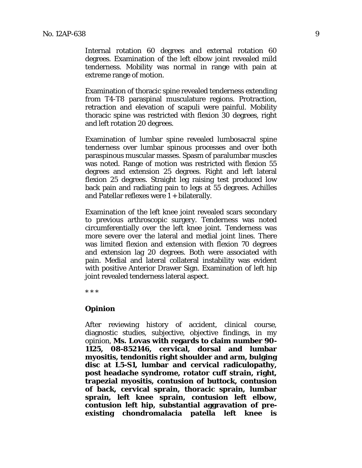Internal rotation 60 degrees and external rotation 60 degrees. Examination of the left elbow joint revealed mild tenderness. Mobility was normal in range with pain at extreme range of motion.

Examination of thoracic spine revealed tenderness extending from T4-T8 paraspinal musculature regions. Protraction, retraction and elevation of scapuli were painful. Mobility thoracic spine was restricted with flexion 30 degrees, right and left rotation 20 degrees.

Examination of lumbar spine revealed lumbosacral spine tenderness over lumbar spinous processes and over both paraspinous muscular masses. Spasm of paralumbar muscles was noted. Range of motion was restricted with flexion 55 degrees and extension 25 degrees. Right and left lateral flexion 25 degrees. Straight leg raising test produced low back pain and radiating pain to legs at 55 degrees. Achilles and Patellar reflexes were 1 + bilaterally.

Examination of the left knee joint revealed scars secondary to previous arthroscopic surgery. Tenderness was noted circumferentially over the left knee joint. Tenderness was more severe over the lateral and medial joint lines. There was limited flexion and extension with flexion 70 degrees and extension lag 20 degrees. Both were associated with pain. Medial and lateral collateral instability was evident with positive Anterior Drawer Sign. Examination of left hip joint revealed tenderness lateral aspect.

\* \* \*

#### **Opinion**

After reviewing history of accident, clinical course, diagnostic studies, subjective, objective findings, in my opinion, **Ms. Lovas with regards to claim number 90- 1125, 08-852146, cervical, dorsal and lumbar myositis, tendonitis right shoulder and arm, bulging disc at L5-S1, lumbar and cervical radiculopathy, post headache syndrome, rotator cuff strain, right, trapezial myositis, contusion of buttock, contusion of back, cervical sprain, thoracic sprain, lumbar sprain, left knee sprain, contusion left elbow, contusion left hip, substantial aggravation of preexisting chondromalacia patella left knee is**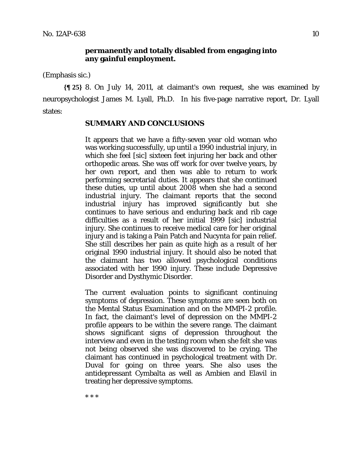#### **permanently and totally disabled from engaging into any gainful employment.**

(Emphasis sic.)

**{¶ 25}** 8. On July 14, 2011, at claimant's own request, she was examined by neuropsychologist James M. Lyall, Ph.D. In his five-page narrative report, Dr. Lyall states:

## **SUMMARY AND CONCLUSIONS**

It appears that we have a fifty-seven year old woman who was working successfully, up until a 1990 industrial injury, in which she feel [sic] sixteen feet injuring her back and other orthopedic areas. She was off work for over twelve years, by her own report, and then was able to return to work performing secretarial duties. It appears that she continued these duties, up until about 2008 when she had a second industrial injury. The claimant reports that the second industrial injury has improved significantly but she continues to have serious and enduring back and rib cage difficulties as a result of her initial 1999 [sic] industrial injury. She continues to receive medical care for her original injury and is taking a Pain Patch and Nucynta for pain relief. She still describes her pain as quite high as a result of her original 1990 industrial injury. It should also be noted that the claimant has two allowed psychological conditions associated with her 1990 injury. These include Depressive Disorder and Dysthymic Disorder.

The current evaluation points to significant continuing symptoms of depression. These symptoms are seen both on the Mental Status Examination and on the MMPI-2 profile. In fact, the claimant's level of depression on the MMPI-2 profile appears to be within the severe range. The claimant shows significant signs of depression throughout the interview and even in the testing room when she felt she was not being observed she was discovered to be crying. The claimant has continued in psychological treatment with Dr. Duval for going on three years. She also uses the antidepressant Cymbalta as well as Ambien and Elavil in treating her depressive symptoms.

\* \* \*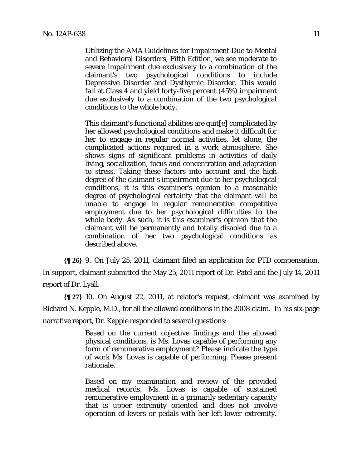Utilizing the AMA Guidelines for Impairment Due to Mental and Behavioral Disorders, Fifth Edition, we see moderate to severe impairment due exclusively to a combination of the claimant's two psychological conditions to include Depressive Disorder and Dysthymic Disorder. This would fall at Class 4 and yield forty-five percent (45%) impairment due exclusively to a combination of the two psychological conditions to the whole body.

This claimant's functional abilities are quit[e] complicated by her allowed psychological conditions and make it difficult for her to engage in regular normal activities, let alone, the complicated actions required in a work atmosphere. She shows signs of significant problems in activities of daily living, socialization, focus and concentration and adaptation to stress. Taking these factors into account and the high degree of the claimant's impairment due to her psychological conditions, it is this examiner's opinion to a reasonable degree of psychological certainty that the claimant will be unable to engage in regular remunerative competitive employment due to her psychological difficulties to the whole body. As such, it is this examiner's opinion that the claimant will be permanently and totally disabled due to a combination of her two psychological conditions as described above.

**{¶ 26}** 9. On July 25, 2011, claimant filed an application for PTD compensation. In support, claimant submitted the May 25, 2011 report of Dr. Patel and the July 14, 2011 report of Dr. Lyall.

**{¶ 27}** 10. On August 22, 2011, at relator's request, claimant was examined by Richard N. Kepple, M.D., for all the allowed conditions in the 2008 claim. In his six-page narrative report, Dr. Kepple responded to several questions:

> Based on the current objective findings and the allowed physical conditions, is Ms. Lovas capable of performing any form of remunerative employment? Please indicate the type of work Ms. Lovas is capable of performing. Please present rationale.

> Based on my examination and review of the provided medical records, Ms. Lovas is capable of sustained remunerative employment in a primarily sedentary capacity that is upper extremity oriented and does not involve operation of levers or pedals with her left lower extremity.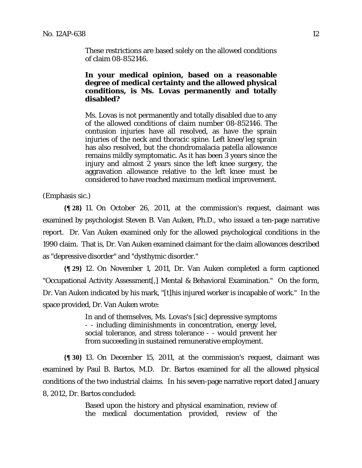These restrictions are based solely on the allowed conditions of claim 08-852146.

# **In your medical opinion, based on a reasonable degree of medical certainty and the allowed physical conditions, is Ms. Lovas permanently and totally disabled?**

Ms. Lovas is not permanently and totally disabled due to any of the allowed conditions of claim number 08-852146. The contusion injuries have all resolved, as have the sprain injuries of the neck and thoracic spine. Left knee/leg sprain has also resolved, but the chondromalacia patella allowance remains mildly symptomatic. As it has been 3 years since the injury and almost 2 years since the left knee surgery, the aggravation allowance relative to the left knee must be considered to have reached maximum medical improvement.

(Emphasis sic.)

**{¶ 28}** 11. On October 26, 2011, at the commission's request, claimant was examined by psychologist Steven B. Van Auken, Ph.D., who issued a ten-page narrative report. Dr. Van Auken examined only for the allowed psychological conditions in the 1990 claim. That is, Dr. Van Auken examined claimant for the claim allowances described as "depressive disorder" and "dysthymic disorder."

**{¶ 29}** 12. On November 1, 2011, Dr. Van Auken completed a form captioned "Occupational Activity Assessment[,] Mental & Behavioral Examination." On the form, Dr. Van Auken indicated by his mark, "[t]his injured worker is incapable of work." In the space provided, Dr. Van Auken wrote:

> In and of themselves, Ms. Lovas's [sic] depressive symptoms - - including diminishments in concentration, energy level, social tolerance, and stress tolerance - - would prevent her from succeeding in sustained remunerative employment.

**{¶ 30}** 13. On December 15, 2011, at the commission's request, claimant was examined by Paul B. Bartos, M.D. Dr. Bartos examined for all the allowed physical conditions of the two industrial claims. In his seven-page narrative report dated January 8, 2012, Dr. Bartos concluded:

> Based upon the history and physical examination, review of the medical documentation provided, review of the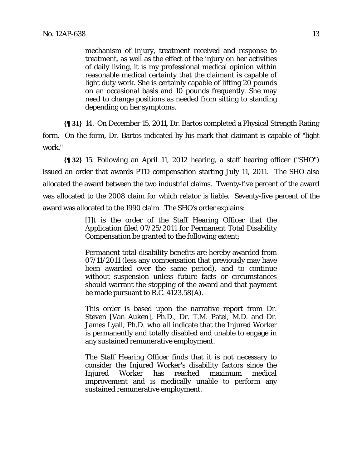mechanism of injury, treatment received and response to treatment, as well as the effect of the injury on her activities of daily living, it is my professional medical opinion within reasonable medical certainty that the claimant is capable of light duty work. She is certainly capable of lifting 20 pounds on an occasional basis and 10 pounds frequently. She may need to change positions as needed from sitting to standing depending on her symptoms.

**{¶ 31}** 14. On December 15, 2011, Dr. Bartos completed a Physical Strength Rating form. On the form, Dr. Bartos indicated by his mark that claimant is capable of "light work."

**{¶ 32}** 15. Following an April 11, 2012 hearing, a staff hearing officer ("SHO") issued an order that awards PTD compensation starting July 11, 2011. The SHO also allocated the award between the two industrial claims. Twenty-five percent of the award was allocated to the 2008 claim for which relator is liable. Seventy-five percent of the award was allocated to the 1990 claim. The SHO's order explains:

> [I]t is the order of the Staff Hearing Officer that the Application filed 07/25/2011 for Permanent Total Disability Compensation be granted to the following extent;

> Permanent total disability benefits are hereby awarded from 07/11/2011 (less any compensation that previously may have been awarded over the same period), and to continue without suspension unless future facts or circumstances should warrant the stopping of the award and that payment be made pursuant to R.C. 4123.58(A).

> This order is based upon the narrative report from Dr. Steven [Van Auken], Ph.D., Dr. T.M. Patel, M.D. and Dr. James Lyall, Ph.D. who all indicate that the Injured Worker is permanently and totally disabled and unable to engage in any sustained remunerative employment.

> The Staff Hearing Officer finds that it is not necessary to consider the Injured Worker's disability factors since the Injured Worker has reached maximum medical improvement and is medically unable to perform any sustained remunerative employment.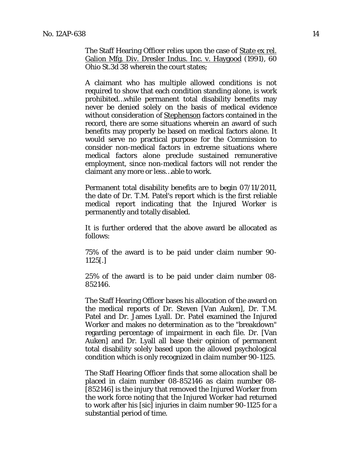The Staff Hearing Officer relies upon the case of State ex rel. Galion Mfg. Div. Dresler Indus. Inc. v. Haygood (1991), 60 Ohio St.3d 38 wherein the court states;

A claimant who has multiple allowed conditions is not required to show that each condition standing alone, is work prohibited…while permanent total disability benefits may never be denied solely on the basis of medical evidence without consideration of Stephenson factors contained in the record, there are some situations wherein an award of such benefits may properly be based on medical factors alone. It would serve no practical purpose for the Commission to consider non-medical factors in extreme situations where medical factors alone preclude sustained remunerative employment, since non-medical factors will not render the claimant any more or less…able to work.

Permanent total disability benefits are to begin 07/11/2011, the date of Dr. T.M. Patel's report which is the first reliable medical report indicating that the Injured Worker is permanently and totally disabled.

It is further ordered that the above award be allocated as follows:

75% of the award is to be paid under claim number 90- 1125[.]

25% of the award is to be paid under claim number 08- 852146.

The Staff Hearing Officer bases his allocation of the award on the medical reports of Dr. Steven [Van Auken], Dr. T.M. Patel and Dr. James Lyall. Dr. Patel examined the Injured Worker and makes no determination as to the "breakdown" regarding percentage of impairment in each file. Dr. [Van Auken] and Dr. Lyall all base their opinion of permanent total disability solely based upon the allowed psychological condition which is only recognized in claim number 90-1125.

The Staff Hearing Officer finds that some allocation shall be placed in claim number 08-852146 as claim number 08- [852146] is the injury that removed the Injured Worker from the work force noting that the Injured Worker had returned to work after his [sic] injuries in claim number 90-1125 for a substantial period of time.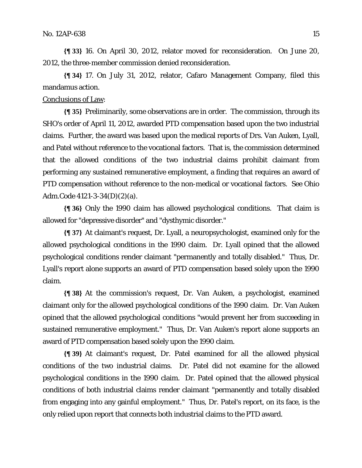**{¶ 33}** 16. On April 30, 2012, relator moved for reconsideration. On June 20, 2012, the three-member commission denied reconsideration.

**{¶ 34}** 17. On July 31, 2012, relator, Cafaro Management Company, filed this mandamus action.

#### Conclusions of Law:

**{¶ 35}** Preliminarily, some observations are in order. The commission, through its SHO's order of April 11, 2012, awarded PTD compensation based upon the two industrial claims. Further, the award was based upon the medical reports of Drs. Van Auken, Lyall, and Patel without reference to the vocational factors. That is, the commission determined that the allowed conditions of the two industrial claims prohibit claimant from performing any sustained remunerative employment, a finding that requires an award of PTD compensation without reference to the non-medical or vocational factors. *See* Ohio Adm.Code 4121-3-34(D)(2)(a).

**{¶ 36}** Only the 1990 claim has allowed psychological conditions. That claim is allowed for "depressive disorder" and "dysthymic disorder."

**{¶ 37}** At claimant's request, Dr. Lyall, a neuropsychologist, examined only for the allowed psychological conditions in the 1990 claim. Dr. Lyall opined that the allowed psychological conditions render claimant "permanently and totally disabled." Thus, Dr. Lyall's report alone supports an award of PTD compensation based solely upon the 1990 claim.

**{¶ 38}** At the commission's request, Dr. Van Auken, a psychologist, examined claimant only for the allowed psychological conditions of the 1990 claim. Dr. Van Auken opined that the allowed psychological conditions "would prevent her from succeeding in sustained remunerative employment." Thus, Dr. Van Auken's report alone supports an award of PTD compensation based solely upon the 1990 claim.

**{¶ 39}** At claimant's request, Dr. Patel examined for all the allowed physical conditions of the two industrial claims. Dr. Patel did not examine for the allowed psychological conditions in the 1990 claim. Dr. Patel opined that the allowed physical conditions of both industrial claims render claimant "permanently and totally disabled from engaging into any gainful employment." Thus, Dr. Patel's report, on its face, is the only relied upon report that connects both industrial claims to the PTD award.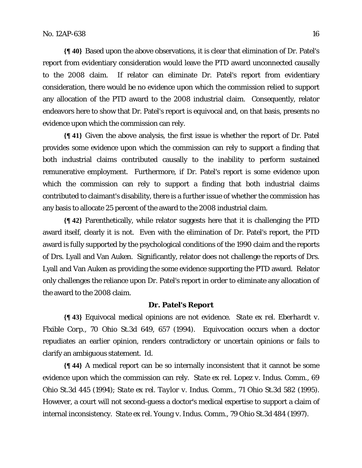**{¶ 40}** Based upon the above observations, it is clear that elimination of Dr. Patel's report from evidentiary consideration would leave the PTD award unconnected causally to the 2008 claim. If relator can eliminate Dr. Patel's report from evidentiary consideration, there would be no evidence upon which the commission relied to support any allocation of the PTD award to the 2008 industrial claim. Consequently, relator endeavors here to show that Dr. Patel's report is equivocal and, on that basis, presents no evidence upon which the commission can rely.

**{¶ 41}** Given the above analysis, the first issue is whether the report of Dr. Patel provides some evidence upon which the commission can rely to support a finding that both industrial claims contributed causally to the inability to perform sustained remunerative employment. Furthermore, if Dr. Patel's report is some evidence upon which the commission can rely to support a finding that both industrial claims contributed to claimant's disability, there is a further issue of whether the commission has any basis to allocate 25 percent of the award to the 2008 industrial claim.

**{¶ 42}** Parenthetically, while relator suggests here that it is challenging the PTD award itself, clearly it is not. Even with the elimination of Dr. Patel's report, the PTD award is fully supported by the psychological conditions of the 1990 claim and the reports of Drs. Lyall and Van Auken. Significantly, relator does not challenge the reports of Drs. Lyall and Van Auken as providing the some evidence supporting the PTD award. Relator only challenges the reliance upon Dr. Patel's report in order to eliminate any allocation of the award to the 2008 claim.

#### **Dr. Patel's Report**

**{¶ 43}** Equivocal medical opinions are not evidence. *State ex rel. Eberhardt v. Flxible Corp.*, 70 Ohio St.3d 649, 657 (1994). Equivocation occurs when a doctor repudiates an earlier opinion, renders contradictory or uncertain opinions or fails to clarify an ambiguous statement. *Id.* 

**{¶ 44}** A medical report can be so internally inconsistent that it cannot be some evidence upon which the commission can rely. *State ex rel. Lopez v. Indus. Comm.*, 69 Ohio St.3d 445 (1994); *State ex rel. Taylor v. Indus. Comm.*, 71 Ohio St.3d 582 (1995). However, a court will not second-guess a doctor's medical expertise to support a claim of internal inconsistency. *State ex rel. Young v. Indus. Comm.*, 79 Ohio St.3d 484 (1997).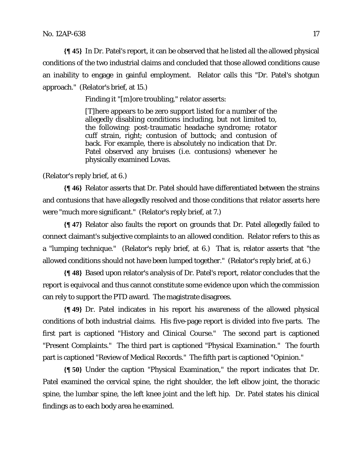**{¶ 45}** In Dr. Patel's report, it can be observed that he listed all the allowed physical conditions of the two industrial claims and concluded that those allowed conditions cause an inability to engage in gainful employment. Relator calls this "Dr. Patel's shotgun approach." (Relator's brief, at 15.)

Finding it "[m]ore troubling," relator asserts:

[T]here appears to be zero support listed for a number of the allegedly disabling conditions including, but not limited to, the following: post-traumatic headache syndrome; rotator cuff strain, right; contusion of buttock; and contusion of back. For example, there is absolutely no indication that Dr. Patel observed any bruises (i.e. contusions) whenever he physically examined Lovas.

(Relator's reply brief, at 6.)

**{¶ 46}** Relator asserts that Dr. Patel should have differentiated between the strains and contusions that have allegedly resolved and those conditions that relator asserts here were "much more significant." (Relator's reply brief, at 7.)

**{¶ 47}** Relator also faults the report on grounds that Dr. Patel allegedly failed to connect claimant's subjective complaints to an allowed condition. Relator refers to this as a "lumping technique." (Relator's reply brief, at 6.) That is, relator asserts that "the allowed conditions should not have been lumped together." (Relator's reply brief, at 6.)

**{¶ 48}** Based upon relator's analysis of Dr. Patel's report, relator concludes that the report is equivocal and thus cannot constitute some evidence upon which the commission can rely to support the PTD award. The magistrate disagrees.

**{¶ 49}** Dr. Patel indicates in his report his awareness of the allowed physical conditions of both industrial claims. His five-page report is divided into five parts. The first part is captioned "History and Clinical Course." The second part is captioned "Present Complaints." The third part is captioned "Physical Examination." The fourth part is captioned "Review of Medical Records." The fifth part is captioned "Opinion."

**{¶ 50}** Under the caption "Physical Examination," the report indicates that Dr. Patel examined the cervical spine, the right shoulder, the left elbow joint, the thoracic spine, the lumbar spine, the left knee joint and the left hip. Dr. Patel states his clinical findings as to each body area he examined.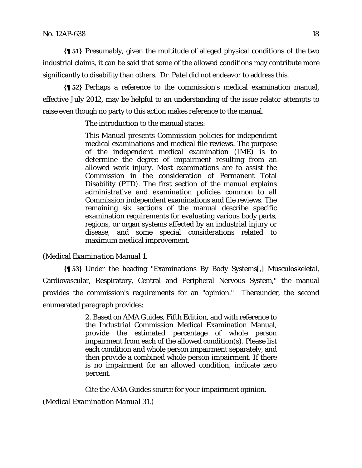**{¶ 51}** Presumably, given the multitude of alleged physical conditions of the two industrial claims, it can be said that some of the allowed conditions may contribute more significantly to disability than others. Dr. Patel did not endeavor to address this.

**{¶ 52}** Perhaps a reference to the commission's medical examination manual, effective July 2012, may be helpful to an understanding of the issue relator attempts to raise even though no party to this action makes reference to the manual.

The introduction to the manual states:

This Manual presents Commission policies for independent medical examinations and medical file reviews. The purpose of the independent medical examination (IME) is to determine the degree of impairment resulting from an allowed work injury. Most examinations are to assist the Commission in the consideration of Permanent Total Disability (PTD). The first section of the manual explains administrative and examination policies common to all Commission independent examinations and file reviews. The remaining six sections of the manual describe specific examination requirements for evaluating various body parts, regions, or organ systems affected by an industrial injury or disease, and some special considerations related to maximum medical improvement.

### (*Medical Examination Manual* 1.

**{¶ 53}** Under the heading "Examinations By Body Systems[,] Musculoskeletal, Cardiovascular, Respiratory, Central and Peripheral Nervous System," the manual provides the commission's requirements for an "opinion." Thereunder, the second enumerated paragraph provides:

> 2. Based on AMA Guides, Fifth Edition, and with reference to the Industrial Commission Medical Examination Manual, provide the estimated percentage of whole person impairment from each of the allowed condition(s). Please list each condition and whole person impairment separately, and then provide a combined whole person impairment. If there is no impairment for an allowed condition, indicate zero percent.

Cite the AMA Guides source for your impairment opinion.

(*Medical Examination Manual* 31.)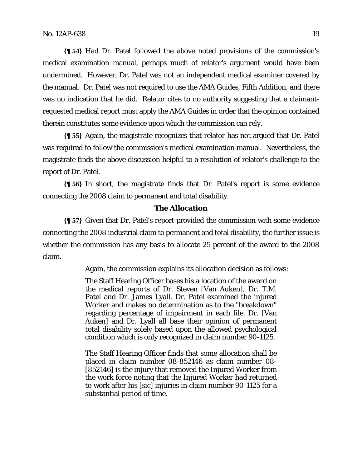**{¶ 54}** Had Dr. Patel followed the above noted provisions of the commission's medical examination manual, perhaps much of relator's argument would have been undermined. However, Dr. Patel was not an independent medical examiner covered by the manual. Dr. Patel was not required to use the AMA Guides, Fifth Addition, and there was no indication that he did. Relator cites to no authority suggesting that a claimantrequested medical report must apply the AMA Guides in order that the opinion contained therein constitutes some evidence upon which the commission can rely.

**{¶ 55}** Again, the magistrate recognizes that relator has not argued that Dr. Patel was required to follow the commission's medical examination manual. Nevertheless, the magistrate finds the above discussion helpful to a resolution of relator's challenge to the report of Dr. Patel.

**{¶ 56}** In short, the magistrate finds that Dr. Patel's report is some evidence connecting the 2008 claim to permanent and total disability.

## **The Allocation**

**{¶ 57}** Given that Dr. Patel's report provided the commission with some evidence connecting the 2008 industrial claim to permanent and total disability, the further issue is whether the commission has any basis to allocate 25 percent of the award to the 2008 claim.

Again, the commission explains its allocation decision as follows:

The Staff Hearing Officer bases his allocation of the award on the medical reports of Dr. Steven [Van Auken], Dr. T.M. Patel and Dr. James Lyall. Dr. Patel examined the injured Worker and makes no determination as to the "breakdown" regarding percentage of impairment in each file. Dr. [Van Auken] and Dr. Lyall all base their opinion of permanent total disability solely based upon the allowed psychological condition which is only recognized in claim number 90-1125.

The Staff Hearing Officer finds that some allocation shall be placed in claim number 08-852146 as claim number 08- [852146] is the injury that removed the Injured Worker from the work force noting that the Injured Worker had returned to work after his [sic] injuries in claim number 90-1125 for a substantial period of time.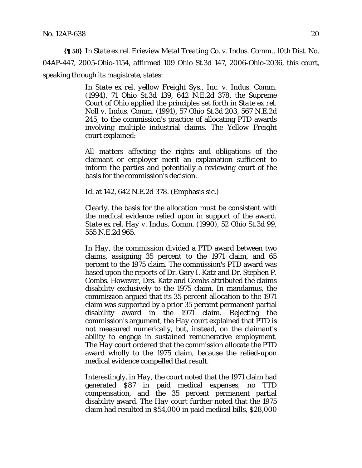**{¶ 58}** In *State ex rel. Erieview Metal Treating Co. v. Indus. Comm.,* 10th Dist. No. 04AP-447, 2005-Ohio-1154, *affirmed* 109 Ohio St.3d 147, 2006-Ohio-2036, this court, speaking through its magistrate, states:

> In *State ex rel. yellow Freight Sys., Inc. v. Indus. Comm.*  (1994), 71 Ohio St.3d 139, 642 N.E.2d 378, the Supreme Court of Ohio applied the principles set forth in *State ex rel. Noll v. Indus. Comm.* (1991), 57 Ohio St.3d 203, 567 N.E.2d 245, to the commission's practice of allocating PTD awards involving multiple industrial claims. The *Yellow Freight* court explained:

> *All* matters affecting the rights and obligations of the claimant or employer merit an explanation sufficient to inform the parties and potentially a reviewing court of the basis for the commission's decision.

Id. at 142, 642 N.E.2d 378. (Emphasis sic.)

Clearly, the basis for the allocation must be consistent with the medical evidence relied upon in support of the award. *State ex rel. Hay v. Indus. Comm.* (1990), 52 Ohio St.3d 99, 555 N.E.2d 965.

In *Hay,* the commission divided a PTD award between two claims, assigning 35 percent to the 1971 claim, and 65 percent to the 1975 claim. The commission's PTD award was based upon the reports of Dr. Gary I. Katz and Dr. Stephen P. Combs. However, Drs. Katz and Combs attributed the claims disability exclusively to the 1975 claim. In mandamus, the commission argued that its 35 percent allocation to the 1971 claim was supported by a prior 35 percent permanent partial disability award in the 1971 claim. Rejecting the commission's argument, the *Hay* court explained that PTD is not measured numerically, but, instead, on the claimant's ability to engage in sustained remunerative employment. The *Hay* court ordered that the commission allocate the PTD award wholly to the 1975 claim, because the relied-upon medical evidence compelled that result.

Interestingly, in *Hay,* the court noted that the 1971 claim had generated \$87 in paid medical expenses, no TTD compensation, and the 35 percent permanent partial disability award. The *Hay* court further noted that the 1975 claim had resulted in \$54,000 in paid medical bills, \$28,000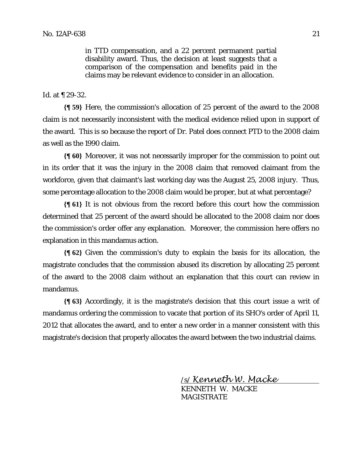in TTD compensation, and a 22 percent permanent partial disability award. Thus, the decision at least suggests that a comparison of the compensation and benefits paid in the claims may be relevant evidence to consider in an allocation.

#### *Id.* at ¶ 29-32.

**{¶ 59}** Here, the commission's allocation of 25 percent of the award to the 2008 claim is not necessarily inconsistent with the medical evidence relied upon in support of the award. This is so because the report of Dr. Patel does connect PTD to the 2008 claim as well as the 1990 claim.

**{¶ 60}** Moreover, it was not necessarily improper for the commission to point out in its order that it was the injury in the 2008 claim that removed claimant from the workforce, given that claimant's last working day was the August 25, 2008 injury. Thus, some percentage allocation to the 2008 claim would be proper, but at what percentage?

**{¶ 61}** It is not obvious from the record before this court how the commission determined that 25 percent of the award should be allocated to the 2008 claim nor does the commission's order offer any explanation. Moreover, the commission here offers no explanation in this mandamus action.

**{¶ 62}** Given the commission's duty to explain the basis for its allocation, the magistrate concludes that the commission abused its discretion by allocating 25 percent of the award to the 2008 claim without an explanation that this court can review in mandamus.

**{¶ 63}** Accordingly, it is the magistrate's decision that this court issue a writ of mandamus ordering the commission to vacate that portion of its SHO's order of April 11, 2012 that allocates the award, and to enter a new order in a manner consistent with this magistrate's decision that properly allocates the award between the two industrial claims.

/s/ Kenneth W. Macke

 KENNETH W. MACKE MAGISTRATE